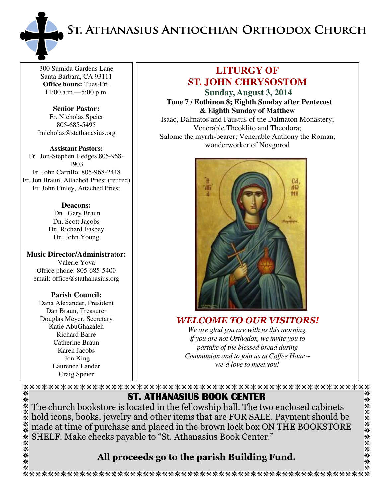ST. ATHANASIUS ANTIOCHIAN ORTHODOX CHURCH



300 Sumida Gardens Lane Santa Barbara, CA 93111 **Office hours:** Tues-Fri. 11:00 a.m.—5:00 p.m.

**Senior Pastor:**  Fr. Nicholas Speier 805-685-5495 frnicholas@stathanasius.org

**Assistant Pastors:**  Fr. Jon-Stephen Hedges 805-968- 1903 Fr. John Carrillo 805-968-2448 Fr. Jon Braun, Attached Priest (retired) Fr. John Finley, Attached Priest

> **Deacons:**  Dn. Gary Braun Dn. Scott Jacobs Dn. Richard Easbey Dn. John Young

**Music Director/Administrator:**  Valerie Yova Office phone: 805-685-5400 email: office@stathanasius.org

> **Parish Council:**  Dana Alexander, President Dan Braun, Treasurer Douglas Meyer, Secretary Katie AbuGhazaleh Richard Barre Catherine Braun Karen Jacobs Jon King Laurence Lander Craig Speier

☀

# **LITURGY OF ST. JOHN CHRYSOSTOM**

**Sunday, August 3, 2014 Tone 7 / Eothinon 8; Eighth Sunday after Pentecost & Eighth Sunday of Matthew**  Isaac, Dalmatos and Faustus of the Dalmaton Monastery; Venerable Theoklito and Theodora; Salome the myrrh-bearer; Venerable Anthony the Roman, wonderworker of Novgorod



WELCOME TO OUR VISITORS! *We are glad you are with us this morning. If you are not Orthodox, we invite you to partake of the blessed bread during Communion and to join us at Coffee Hour ~ we'd love to meet you!* 

⋇

ST. ATHANASIUS BOOK CENTER \*\*\*\*\*\*\*\*\*\*\*\*\* The church bookstore is located in the fellowship hall. The two enclosed cabinets hold icons, books, jewelry and other items that are FOR SALE. Payment should be made at time of purchase and placed in the brown lock box ON THE BOOKSTORE SHELF. Make checks payable to "St. Athanasius Book Center."

# All proceeds go to the parish Building Fund.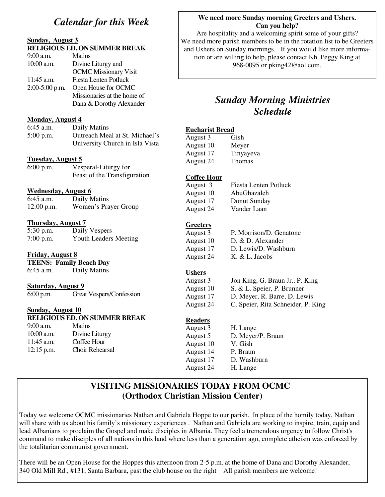## *Calendar for this Week*

### **Sunday, August 3**

#### **RELIGIOUS ED. ON SUMMER BREAK**

| $9:00$ a.m.      | <b>Matins</b>                |
|------------------|------------------------------|
| $10:00$ a.m.     | Divine Liturgy and           |
|                  | <b>OCMC</b> Missionary Visit |
| 11:45 a.m.       | <b>Fiesta Lenten Potluck</b> |
| $2:00-5:00$ p.m. | Open House for OCMC          |
|                  | Missionaries at the home of  |
|                  | Dana & Dorothy Alexander     |
|                  |                              |

#### **Monday, August 4**

| 6:45 a.m.   | Daily Matins                    |
|-------------|---------------------------------|
| $5:00$ p.m. | Outreach Meal at St. Michael's  |
|             | University Church in Isla Vista |

#### **Tuesday, August 5**

| $6:00$ p.m. | Vesperal-Liturgy for         |
|-------------|------------------------------|
|             | Feast of the Transfiguration |

#### **Wednesday, August 6**

| $6:45$ a.m.  | Daily Matins         |
|--------------|----------------------|
| $12:00$ p.m. | Women's Prayer Group |

#### **Thursday, August 7**

| 5:30 p.m.   | Daily Vespers                |
|-------------|------------------------------|
| $7:00$ p.m. | <b>Youth Leaders Meeting</b> |

#### **Friday, August 8**

**TEENS: Family Beach Day**  6:45 a.m. Daily Matins

### **Saturday, August 9**

6:00 p.m. Great Vespers/Confession

#### **Sunday, August 10**

#### **RELIGIOUS ED. ON SUMMER BREAK**

9:00 a.m. Matins 10:00 a.m. Divine Liturgy 11:45 a.m. Coffee Hour 12:15 p.m. Choir Rehearsal

#### **We need more Sunday morning Greeters and Ushers. Can you help?**

Are hospitality and a welcoming spirit some of your gifts? We need more parish members to be in the rotation list to be Greeters and Ushers on Sunday mornings. If you would like more information or are willing to help, please contact Kh. Peggy King at 968-0095 or pking42@aol.com.

# *Sunday Morning Ministries Schedule*

### **Eucharist Bread**

| Gish          |
|---------------|
| Meyer         |
| Tinyayeva     |
| <b>Thomas</b> |
|               |

#### **Coffee Hour**

August 10 AbuGhazaleh August 17 Donut Sunday August 24 Vander Laan

August 3 Fiesta Lenten Potluck

#### **Greeters**

August 3 P. Morrison/D. Genatone August 10 D. & D. Alexander August 17 D. Lewis/D. Washburn August 24 K. & L. Jacobs

#### **Ushers**

August 3 Jon King, G. Braun Jr., P. King August 10 S. & L. Speier, P. Brunner August 17 D. Meyer, R. Barre, D. Lewis August 24 C. Speier, Rita Schneider, P. King

#### **Readers**

August 3 H. Lange August 5 D. Meyer/P. Braun August 10 V. Gish<br>August 14 P. Braun August 14 August 17 D. Washburn August 24 H. Lange

## **VISITING MISSIONARIES TODAY FROM OCMC (Orthodox Christian Mission Center)**

Today we welcome OCMC missionaries Nathan and Gabriela Hoppe to our parish. In place of the homily today, Nathan will share with us about his family's missionary experiences . Nathan and Gabriela are working to inspire, train, equip and lead Albanians to proclaim the Gospel and make disciples in Albania. They feel a tremendous urgency to follow Christ's command to make disciples of all nations in this land where less than a generation ago, complete atheism was enforced by the totalitarian communist government.

There will be an Open House for the Hoppes this afternoon from 2-5 p.m. at the home of Dana and Dorothy Alexander, 340 Old Mill Rd., #131, Santa Barbara, past the club house on the right All parish members are welcome!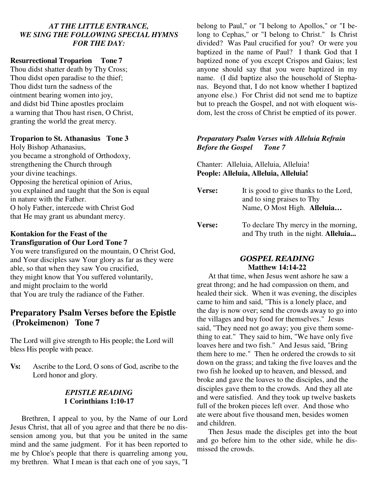#### *AT THE LITTLE ENTRANCE, WE SING THE FOLLOWING SPECIAL HYMNS FOR THE DAY:*

### **Resurrectional Troparion Tone 7**

Thou didst shatter death by Thy Cross; Thou didst open paradise to the thief; Thou didst turn the sadness of the ointment bearing women into joy, and didst bid Thine apostles proclaim a warning that Thou hast risen, O Christ, granting the world the great mercy.

#### **Troparion to St. Athanasius Tone 3**

Holy Bishop Athanasius, you became a stronghold of Orthodoxy, strengthening the Church through your divine teachings. Opposing the heretical opinion of Arius, you explained and taught that the Son is equal in nature with the Father. O holy Father, intercede with Christ God that He may grant us abundant mercy.

### **Kontakion for the Feast of the Transfiguration of Our Lord Tone 7**

You were transfigured on the mountain, O Christ God, and Your disciples saw Your glory as far as they were able, so that when they saw You crucified, they might know that You suffered voluntarily, and might proclaim to the world that You are truly the radiance of the Father.

### **Preparatory Psalm Verses before the Epistle (Prokeimenon) Tone 7**

The Lord will give strength to His people; the Lord will bless His people with peace.

**Vs:** Ascribe to the Lord, O sons of God, ascribe to the Lord honor and glory.

#### *EPISTLE READING*  **1 Corinthians 1:10-17**

Brethren, I appeal to you, by the Name of our Lord Jesus Christ, that all of you agree and that there be no dissension among you, but that you be united in the same mind and the same judgment. For it has been reported to me by Chloe's people that there is quarreling among you, my brethren. What I mean is that each one of you says, "I belong to Paul," or "I belong to Apollos," or "I belong to Cephas," or "I belong to Christ." Is Christ divided? Was Paul crucified for you? Or were you baptized in the name of Paul? I thank God that I baptized none of you except Crispos and Gaius; lest anyone should say that you were baptized in my name. (I did baptize also the household of Stephanas. Beyond that, I do not know whether I baptized anyone else.) For Christ did not send me to baptize but to preach the Gospel, and not with eloquent wisdom, lest the cross of Christ be emptied of its power.

#### *Preparatory Psalm Verses with Alleluia Refrain Before the Gospel Tone 7*

Chanter: Alleluia, Alleluia, Alleluia! **People: Alleluia, Alleluia, Alleluia!** 

| <b>Verse:</b> | It is good to give thanks to the Lord,<br>and to sing praises to Thy<br>Name, O Most High. Alleluia |
|---------------|-----------------------------------------------------------------------------------------------------|
| <b>Verse:</b> | To declare Thy mercy in the morning,<br>and Thy truth in the night. Alleluia                        |

#### GOSPEL READING **Matthew 14:14-22**

At that time, when Jesus went ashore he saw a great throng; and he had compassion on them, and healed their sick. When it was evening, the disciples came to him and said, "This is a lonely place, and the day is now over; send the crowds away to go into the villages and buy food for themselves." Jesus said, "They need not go away; you give them something to eat." They said to him, "We have only five loaves here and two fish." And Jesus said, "Bring them here to me." Then he ordered the crowds to sit down on the grass; and taking the five loaves and the two fish he looked up to heaven, and blessed, and broke and gave the loaves to the disciples, and the disciples gave them to the crowds. And they all ate and were satisfied. And they took up twelve baskets full of the broken pieces left over. And those who ate were about five thousand men, besides women and children.

Then Jesus made the disciples get into the boat and go before him to the other side, while he dismissed the crowds.